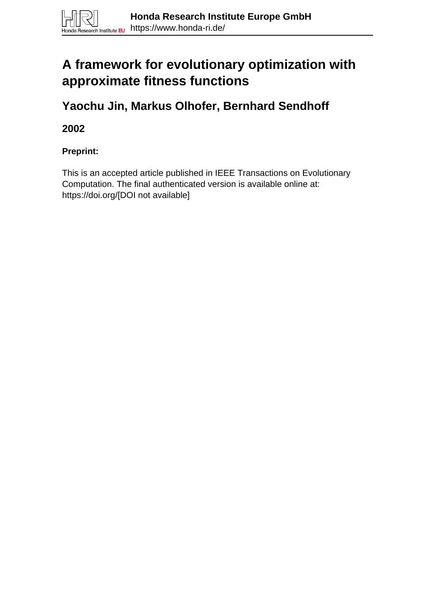# **A framework for evolutionary optimization with approximate fitness functions**

## **Yaochu Jin, Markus Olhofer, Bernhard Sendhoff**

### **2002**

### **Preprint:**

This is an accepted article published in IEEE Transactions on Evolutionary Computation. The final authenticated version is available online at: https://doi.org/[DOI not available]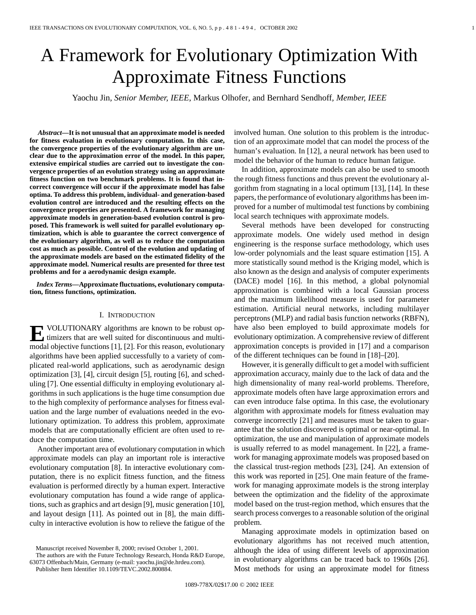# A Framework for Evolutionary Optimization With Approximate Fitness Functions

Yaochu Jin*, Senior Member, IEEE*, Markus Olhofer, and Bernhard Sendhoff*, Member, IEEE*

*Abstract—***It is not unusual that an approximate model is needed for fitness evaluation in evolutionary computation. In this case, the convergence properties of the evolutionary algorithm are unclear due to the approximation error of the model. In this paper, extensive empirical studies are carried out to investigate the convergence properties of an evolution strategy using an approximate fitness function on two benchmark problems. It is found that incorrect convergence will occur if the approximate model has false optima. To address this problem, individual- and generation-based evolution control are introduced and the resulting effects on the convergence properties are presented. A framework for managing approximate models in generation-based evolution control is proposed. This framework is well suited for parallel evolutionary optimization, which is able to guarantee the correct convergence of the evolutionary algorithm, as well as to reduce the computation cost as much as possible. Control of the evolution and updating of the approximate models are based on the estimated fidelity of the approximate model. Numerical results are presented for three test problems and for a aerodynamic design example.**

*Index Terms—***Approximate fluctuations, evolutionary computation, fitness functions, optimization.**

#### I. INTRODUCTION

**E** VOLUTIONARY algorithms are known to be robust optimizers that are well suited for discontinuous and multimodal objective functions [1], [2]. For this reason, evolutionary algorithms have been applied successfully to a variety of complicated real-world applications, such as aerodynamic design optimization [3], [4], circuit design [5], routing [6], and scheduling [7]. One essential difficulty in employing evolutionary algorithms in such applications is the huge time consumption due to the high complexity of performance analyses for fitness evaluation and the large number of evaluations needed in the evolutionary optimization. To address this problem, approximate models that are computationally efficient are often used to reduce the computation time.

Another important area of evolutionary computation in which approximate models can play an important role is interactive evolutionary computation [8]. In interactive evolutionary computation, there is no explicit fitness function, and the fitness evaluation is performed directly by a human expert. Interactive evolutionary computation has found a wide range of applications, such as graphics and art design [9], music generation [10], and layout design [11]. As pointed out in [8], the main difficulty in interactive evolution is how to relieve the fatigue of the

The authors are with the Future Technology Research, Honda R&D Europe, 63073 Offenbach/Main, Germany (e-mail: yaochu.jin@de.hrdeu.com).

Publisher Item Identifier 10.1109/TEVC.2002.800884.

involved human. One solution to this problem is the introduction of an approximate model that can model the process of the human's evaluation. In [12], a neural network has been used to model the behavior of the human to reduce human fatigue.

In addition, approximate models can also be used to smooth the rough fitness functions and thus prevent the evolutionary algorithm from stagnating in a local optimum [13], [14]. In these papers, the performance of evolutionary algorithms has been improved for a number of multimodal test functions by combining local search techniques with approximate models.

Several methods have been developed for constructing approximate models. One widely used method in design engineering is the response surface methodology, which uses low-order polynomials and the least square estimation [15]. A more statistically sound method is the Kriging model, which is also known as the design and analysis of computer experiments (DACE) model [16]. In this method, a global polynomial approximation is combined with a local Gaussian process and the maximum likelihood measure is used for parameter estimation. Artificial neural networks, including multilayer perceptrons (MLP) and radial basis function networks (RBFN), have also been employed to build approximate models for evolutionary optimization. A comprehensive review of different approximation concepts is provided in [17] and a comparison of the different techniques can be found in [18]–[20].

However, it is generally difficult to get a model with sufficient approximation accuracy, mainly due to the lack of data and the high dimensionality of many real-world problems. Therefore, approximate models often have large approximation errors and can even introduce false optima. In this case, the evolutionary algorithm with approximate models for fitness evaluation may converge incorrectly [21] and measures must be taken to guarantee that the solution discovered is optimal or near-optimal. In optimization, the use and manipulation of approximate models is usually referred to as model management. In [22], a framework for managing approximate models was proposed based on the classical trust-region methods [23], [24]. An extension of this work was reported in [25]. One main feature of the framework for managing approximate models is the strong interplay between the optimization and the fidelity of the approximate model based on the trust-region method, which ensures that the search process converges to a reasonable solution of the original problem.

Managing approximate models in optimization based on evolutionary algorithms has not received much attention, although the idea of using different levels of approximation in evolutionary algorithms can be traced back to 1960s [26]. Most methods for using an approximate model for fitness

Manuscript received November 8, 2000; revised October 1, 2001.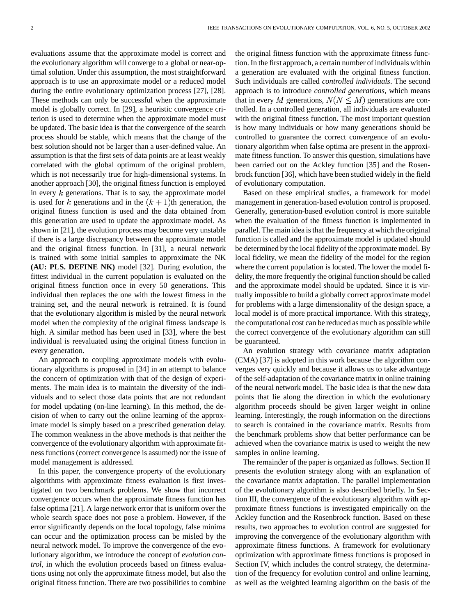evaluations assume that the approximate model is correct and the evolutionary algorithm will converge to a global or near-optimal solution. Under this assumption, the most straightforward approach is to use an approximate model or a reduced model during the entire evolutionary optimization process [27], [28]. These methods can only be successful when the approximate model is globally correct. In [29], a heuristic convergence criterion is used to determine when the approximate model must be updated. The basic idea is that the convergence of the search process should be stable, which means that the change of the best solution should not be larger than a user-defined value. An assumption is that the first sets of data points are at least weakly correlated with the global optimum of the original problem, which is not necessarily true for high-dimensional systems. In another approach [30], the original fitness function is employed in every  $k$  generations. That is to say, the approximate model is used for k generations and in the  $(k + 1)$ th generation, the original fitness function is used and the data obtained from this generation are used to update the approximate model. As shown in [21], the evolution process may become very unstable if there is a large discrepancy between the approximate model and the original fitness function. In [31], a neural network is trained with some initial samples to approximate the NK **(AU: PLS. DEFINE NK)** model [32]. During evolution, the fittest individual in the current population is evaluated on the original fitness function once in every 50 generations. This individual then replaces the one with the lowest fitness in the training set, and the neural network is retrained. It is found that the evolutionary algorithm is misled by the neural network model when the complexity of the original fitness landscape is high. A similar method has been used in [33], where the best individual is reevaluated using the original fitness function in every generation.

An approach to coupling approximate models with evolutionary algorithms is proposed in [34] in an attempt to balance the concern of optimization with that of the design of experiments. The main idea is to maintain the diversity of the individuals and to select those data points that are not redundant for model updating (on-line learning). In this method, the decision of when to carry out the online learning of the approximate model is simply based on a prescribed generation delay. The common weakness in the above methods is that neither the convergence of the evolutionary algorithm with approximate fitness functions (correct convergence is assumed) nor the issue of model management is addressed.

In this paper, the convergence property of the evolutionary algorithms with approximate fitness evaluation is first investigated on two benchmark problems. We show that incorrect convergence occurs when the approximate fitness function has false optima [21]. A large network error that is uniform over the whole search space does not pose a problem. However, if the error significantly depends on the local topology, false minima can occur and the optimization process can be misled by the neural network model. To improve the convergence of the evolutionary algorithm, we introduce the concept of *evolution control*, in which the evolution proceeds based on fitness evaluations using not only the approximate fitness model, but also the original fitness function. There are two possibilities to combine the original fitness function with the approximate fitness function. In the first approach, a certain number of individuals within a generation are evaluated with the original fitness function. Such individuals are called *controlled individuals*. The second approach is to introduce *controlled generations*, which means that in every M generations,  $N(N \leq M)$  generations are controlled. In a controlled generation, all individuals are evaluated with the original fitness function. The most important question is how many individuals or how many generations should be controlled to guarantee the correct convergence of an evolutionary algorithm when false optima are present in the approximate fitness function. To answer this question, simulations have been carried out on the Ackley function [35] and the Rosenbrock function [36], which have been studied widely in the field of evolutionary computation.

Based on these empirical studies, a framework for model management in generation-based evolution control is proposed. Generally, generation-based evolution control is more suitable when the evaluation of the fitness function is implemented in parallel. The main idea is that the frequency at which the original function is called and the approximate model is updated should be determined by the local fidelity of the approximate model. By local fidelity, we mean the fidelity of the model for the region where the current population is located. The lower the model fidelity, the more frequently the original function should be called and the approximate model should be updated. Since it is virtually impossible to build a globally correct approximate model for problems with a large dimensionality of the design space, a local model is of more practical importance. With this strategy, the computational cost can be reduced as much as possible while the correct convergence of the evolutionary algorithm can still be guaranteed.

An evolution strategy with covariance matrix adaptation (CMA) [37] is adopted in this work because the algorithm converges very quickly and because it allows us to take advantage of the self-adaptation of the covariance matrix in online training of the neural network model. The basic idea is that the new data points that lie along the direction in which the evolutionary algorithm proceeds should be given larger weight in online learning. Interestingly, the rough information on the directions to search is contained in the covariance matrix. Results from the benchmark problems show that better performance can be achieved when the covariance matrix is used to weight the new samples in online learning.

The remainder of the paper is organized as follows. Section II presents the evolution strategy along with an explanation of the covariance matrix adaptation. The parallel implementation of the evolutionary algorithm is also described briefly. In Section III, the convergence of the evolutionary algorithm with approximate fitness functions is investigated empirically on the Ackley function and the Rosenbrock function. Based on these results, two approaches to evolution control are suggested for improving the convergence of the evolutionary algorithm with approximate fitness functions. A framework for evolutionary optimization with approximate fitness functions is proposed in Section IV, which includes the control strategy, the determination of the frequency for evolution control and online learning, as well as the weighted learning algorithm on the basis of the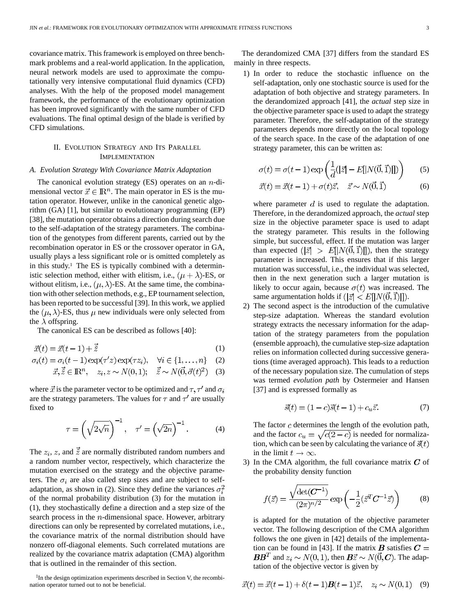covariance matrix. This framework is employed on three benchmark problems and a real-world application. In the application, neural network models are used to approximate the computationally very intensive computational fluid dynamics (CFD) analyses. With the help of the proposed model management framework, the performance of the evolutionary optimization has been improved significantly with the same number of CFD evaluations. The final optimal design of the blade is verified by CFD simulations.

#### II. EVOLUTION STRATEGY AND ITS PARALLEL IMPLEMENTATION

#### *A. Evolution Strategy With Covariance Matrix Adaptation*

The canonical evolution strategy  $(ES)$  operates on an *n*-dimensional vector  $\vec{x} \in \mathbb{R}^n$ . The main operator in ES is the mutation operator. However, unlike in the canonical genetic algorithm (GA) [1], but similar to evolutionary programming (EP) [38], the mutation operator obtains a direction during search due to the self-adaptation of the strategy parameters. The combination of the genotypes from different parents, carried out by the recombination operator in ES or the crossover operator in GA, usually plays a less significant role or is omitted completely as in this study.<sup>1</sup> The ES is typically combined with a deterministic selection method, either with elitism, i.e.,  $(\mu + \lambda)$ -ES, or without elitism, i.e.,  $(\mu, \lambda)$ -ES. At the same time, the combination with other selection methods, e.g., EP tournament selection, has been reported to be successful [39]. In this work, we applied the  $(\mu, \lambda)$ -ES, thus  $\mu$  new individuals were only selected from the  $\lambda$  offspring.

The canonical ES can be described as follows [40]:

$$
\vec{x}(t) = \vec{x}(t-1) + \vec{\tilde{z}} \tag{1}
$$

$$
\sigma_i(t) = \sigma_i(t-1) \exp(\tau'z) \exp(\tau z_i), \quad \forall i \in \{1, \dots, n\} \quad (2)
$$

$$
\vec{x}, \vec{\tilde{z}} \in \mathbb{R}^n, \quad z_i, z \sim N(0, 1); \quad \vec{\tilde{z}} \sim N(\vec{0}, \vec{\sigma}(t)^2) \quad (3)
$$

where  $\vec{x}$  is the parameter vector to be optimized and  $\tau$ ,  $\tau'$  and  $\sigma_i$ are the strategy parameters. The values for  $\tau$  and  $\tau'$  are usually fixed to

$$
\tau = \left(\sqrt{2\sqrt{n}}\right)^{-1}, \quad \tau' = \left(\sqrt{2n}\right)^{-1}.
$$
 (4)

The  $z_i$ , z, and  $\vec{\tilde{z}}$  are normally distributed random numbers and a random number vector, respectively, which characterize the mutation exercised on the strategy and the objective parameters. The  $\sigma_i$  are also called step sizes and are subject to selfadaptation, as shown in (2). Since they define the variances  $\sigma_i^2$ of the normal probability distribution (3) for the mutation in (1), they stochastically define a direction and a step size of the search process in the  $n$ -dimensional space. However, arbitrary directions can only be represented by correlated mutations, i.e., the covariance matrix of the normal distribution should have nonzero off-diagonal elements. Such correlated mutations are realized by the covariance matrix adaptation (CMA) algorithm that is outlined in the remainder of this section.

<sup>1</sup>In the design optimization experiments described in Section V, the recombination operator turned out to not be beneficial.

The derandomized CMA [37] differs from the standard ES mainly in three respects.

1) In order to reduce the stochastic influence on the self-adaptation, only one stochastic source is used for the adaptation of both objective and strategy parameters. In the derandomized approach [41], the *actual* step size in the objective parameter space is used to adapt the strategy parameter. Therefore, the self-adaptation of the strategy parameters depends more directly on the local topology of the search space. In the case of the adaptation of one strategy parameter, this can be written as:

$$
\sigma(t) = \sigma(t-1) \exp\left(\frac{1}{d}(|\vec{z}| - E[|N(\vec{0}, \vec{1})|])\right) \tag{5}
$$

$$
\vec{x}(t) = \vec{x}(t-1) + \sigma(t)\vec{z}, \quad \vec{z} \sim N(\vec{0}, \vec{1})
$$
(6)

where parameter  $d$  is used to regulate the adaptation. Therefore, in the derandomized approach, the *actual* step size in the objective parameter space is used to adapt the strategy parameter. This results in the following simple, but successful, effect. If the mutation was larger than expected  $(|\vec{z}| > E[|N(\vec{0}, \vec{1})|])$ , then the strategy parameter is increased. This ensures that if this larger mutation was successful, i.e., the individual was selected, then in the next generation such a larger mutation is likely to occur again, because  $\sigma(t)$  was increased. The same argumentation holds if  $(|\vec{z}| < E[|N(0,1)|]).$ 

2) The second aspect is the introduction of the cumulative step-size adaptation. Whereas the standard evolution strategy extracts the necessary information for the adaptation of the strategy parameters from the population (ensemble approach), the cumulative step-size adaptation relies on information collected during successive generations (time averaged approach). This leads to a reduction of the necessary population size. The cumulation of steps was termed *evolution path* by Ostermeier and Hansen [37] and is expressed formally as

$$
\vec{s}(t) = (1 - c)\vec{s}(t - 1) + c_u \vec{z}.
$$
 (7)

The factor  $c$  determines the length of the evolution path, and the factor  $c_u = \sqrt{c(2-c)}$  is needed for normalization, which can be seen by calculating the variance of  $\vec{s}(t)$ in the limit  $t \to \infty$ .

3) In the CMA algorithm, the full covariance matrix  $C$  of the probability density function

$$
f(\vec{z}) = \frac{\sqrt{\det(\mathbf{C}^{-1})}}{(2\pi)^{n/2}} \exp\left(-\frac{1}{2}(\vec{z}^T \mathbf{C}^{-1} \vec{z})\right)
$$
(8)

is adapted for the mutation of the objective parameter vector. The following description of the CMA algorithm follows the one given in [42] details of the implementation can be found in [43]. If the matrix B satisfies  $C =$  $\boldsymbol{B}\boldsymbol{B}^T$  and  $z_i \sim N(0, 1)$ , then  $\boldsymbol{B}\vec{z} \sim N(\vec{0}, \boldsymbol{C})$ . The adaptation of the objective vector is given by

$$
\vec{x}(t) = \vec{x}(t-1) + \delta(t-1)\mathbf{B}(t-1)\vec{z}, \quad z_i \sim N(0,1) \quad (9)
$$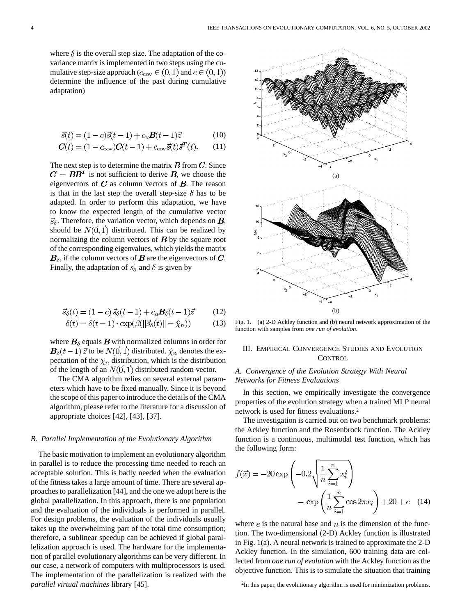where  $\delta$  is the overall step size. The adaptation of the covariance matrix is implemented in two steps using the cumulative step-size approach ( $c_{\text{cov}} \in (0,1)$  and  $c \in (0,1)$ ) determine the influence of the past during cumulative adaptation)

$$
\vec{s}(t) = (1 - c)\vec{s}(t - 1) + c_u \mathbf{B}(t - 1)\vec{z} \tag{10}
$$

$$
C(t) = (1 - c_{\text{cov}})C(t - 1) + c_{\text{cov}}\vec{s}(t)\vec{s}^T(t). \qquad (11)
$$

The next step is to determine the matrix  $\bf{B}$  from  $\bf{C}$ . Since  $\mathbf{C} = \mathbf{B}\mathbf{B}^T$  is not sufficient to derive  $\mathbf{B}$ , we choose the eigenvectors of  $C$  as column vectors of  $B$ . The reason is that in the last step the overall step-size  $\delta$  has to be adapted. In order to perform this adaptation, we have to know the expected length of the cumulative vector  $\vec{s}_{\delta}$ . Therefore, the variation vector, which depends on **B**, should be  $N(\vec{0}, \vec{1})$  distributed. This can be realized by normalizing the column vectors of  $\bf{B}$  by the square root of the corresponding eigenvalues, which yields the matrix  $B_{\delta}$ , if the column vectors of **B** are the eigenvectors of **C**. Finally, the adaptation of  $\vec{s}_{\delta}$  and  $\delta$  is given by

$$
\vec{s}_{\delta}(t) = (1 - c)\,\vec{s}_{\delta}(t - 1) + c_u \boldsymbol{B}_{\delta}(t - 1)\vec{z} \tag{12}
$$

$$
\delta(t) = \delta(t-1) \cdot \exp(\beta(||\vec{s}_{\delta}(t)|| - \hat{\chi}_n)) \tag{13}
$$

where  $\mathbf{B}_{\delta}$  equals  $\mathbf{B}$  with normalized columns in order for  $\mathbf{B}_{\delta}(t-1)\,\vec{z}$  to be  $N(\vec{0}, \vec{1})$  distributed.  $\hat{\chi}_n$  denotes the expectation of the  $\chi_n$  distribution, which is the distribution of the length of an  $N(\vec{0}, \vec{1})$  distributed random vector.

The CMA algorithm relies on several external parameters which have to be fixed manually. Since it is beyond the scope of this paper to introduce the details of the CMA algorithm, please refer to the literature for a discussion of appropriate choices [42], [43], [37].

#### *B. Parallel Implementation of the Evolutionary Algorithm*

The basic motivation to implement an evolutionary algorithm in parallel is to reduce the processing time needed to reach an acceptable solution. This is badly needed when the evaluation of the fitness takes a large amount of time. There are several approaches to parallelization [44], and the one we adopt here is the global parallelization. In this approach, there is one population and the evaluation of the individuals is performed in parallel. For design problems, the evaluation of the individuals usually takes up the overwhelming part of the total time consumption; therefore, a sublinear speedup can be achieved if global parallelization approach is used. The hardware for the implementation of parallel evolutionary algorithms can be very different. In our case, a network of computers with multiprocessors is used. The implementation of the parallelization is realized with the *parallel virtual machines* library [45].



Fig. 1. (a) 2-D Ackley function and (b) neural network approximation of the function with samples from *one run of evolution*.

#### III. EMPIRICAL CONVERGENCE STUDIES AND EVOLUTION **CONTROL**

#### *A. Convergence of the Evolution Strategy With Neural Networks for Fitness Evaluations*

In this section, we empirically investigate the convergence properties of the evolution strategy when a trained MLP neural network is used for fitness evaluations.2

The investigation is carried out on two benchmark problems: the Ackley function and the Rosenbrock function. The Ackley function is a continuous, multimodal test function, which has the following form:

$$
f(\vec{x}) = -20 \exp\left(-0.2\sqrt{\frac{1}{n}\sum_{i=1}^{n}x_i^2}\right) - \exp\left(\frac{1}{n}\sum_{i=1}^{n}\cos 2\pi x_i\right) + 20 + e \quad (14)
$$

where  $e$  is the natural base and  $n$  is the dimension of the function. The two-dimensional (2-D) Ackley function is illustrated in Fig. 1(a). A neural network is trained to approximate the 2-D Ackley function. In the simulation, 600 training data are collected from *one run of evolution* with the Ackley function as the objective function. This is to simulate the situation that training

2In this paper, the evolutionary algorithm is used for minimization problems.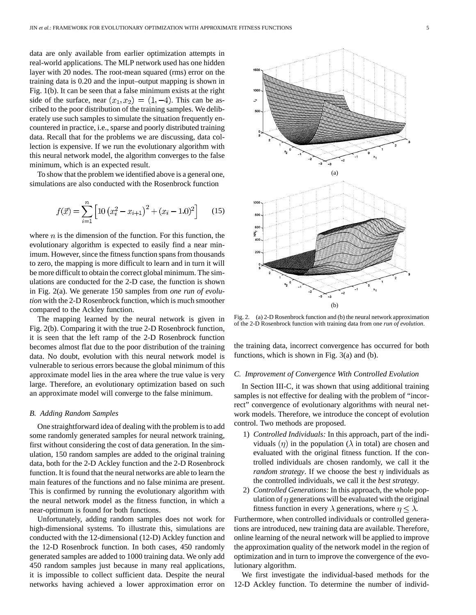data are only available from earlier optimization attempts in real-world applications. The MLP network used has one hidden layer with 20 nodes. The root-mean squared (rms) error on the training data is 0.20 and the input–output mapping is shown in Fig. 1(b). It can be seen that a false minimum exists at the right side of the surface, near  $(x_1, x_2) = (1, -4)$ . This can be ascribed to the poor distribution of the training samples. We deliberately use such samples to simulate the situation frequently encountered in practice, i.e., sparse and poorly distributed training data. Recall that for the problems we are discussing, data collection is expensive. If we run the evolutionary algorithm with this neural network model, the algorithm converges to the false minimum, which is an expected result.

To show that the problem we identified above is a general one, simulations are also conducted with the Rosenbrock function

$$
f(\vec{x}) = \sum_{i=1}^{n} \left[ 10 \left( x_i^2 - x_{i+1} \right)^2 + (x_i - 1.0)^2 \right] \tag{15}
$$

where  $n$  is the dimension of the function. For this function, the evolutionary algorithm is expected to easily find a near minimum. However, since the fitness function spans from thousands to zero, the mapping is more difficult to learn and in turn it will be more difficult to obtain the correct global minimum. The simulations are conducted for the 2-D case, the function is shown in Fig. 2(a). We generate 150 samples from *one run of evolution* with the 2-D Rosenbrock function, which is much smoother compared to the Ackley function.

The mapping learned by the neural network is given in Fig. 2(b). Comparing it with the true 2-D Rosenbrock function, it is seen that the left ramp of the 2-D Rosenbrock function becomes almost flat due to the poor distribution of the training data. No doubt, evolution with this neural network model is vulnerable to serious errors because the global minimum of this approximate model lies in the area where the true value is very large. Therefore, an evolutionary optimization based on such an approximate model will converge to the false minimum.

#### *B. Adding Random Samples*

One straightforward idea of dealing with the problem is to add some randomly generated samples for neural network training, first without considering the cost of data generation. In the simulation, 150 random samples are added to the original training data, both for the 2-D Ackley function and the 2-D Rosenbrock function. It is found that the neural networks are able to learn the main features of the functions and no false minima are present. This is confirmed by running the evolutionary algorithm with the neural network model as the fitness function, in which a near-optimum is found for both functions.

Unfortunately, adding random samples does not work for high-dimensional systems. To illustrate this, simulations are conducted with the 12-dimensional (12-D) Ackley function and the 12-D Rosenbrock function. In both cases, 450 randomly generated samples are added to 1000 training data. We only add 450 random samples just because in many real applications, it is impossible to collect sufficient data. Despite the neural networks having achieved a lower approximation error on



Fig. 2. (a) 2-D Rosenbrock function and (b) the neural network approximation of the 2-D Rosenbrock function with training data from one *run of evolution*.

the training data, incorrect convergence has occurred for both functions, which is shown in Fig. 3(a) and (b).

#### *C. Improvement of Convergence With Controlled Evolution*

In Section III-C, it was shown that using additional training samples is not effective for dealing with the problem of "incorrect" convergence of evolutionary algorithms with neural network models. Therefore, we introduce the concept of evolution control. Two methods are proposed.

- 1) *Controlled Individuals:* In this approach, part of the individuals  $(\eta)$  in the population ( $\lambda$  in total) are chosen and evaluated with the original fitness function. If the controlled individuals are chosen randomly, we call it the *random strategy*. If we choose the best  $\eta$  individuals as the controlled individuals, we call it the *best strategy*.
- 2) *Controlled Generations:* In this approach, the whole population of  $\eta$  generations will be evaluated with the original fitness function in every  $\lambda$  generations, where  $\eta \leq \lambda$ .

Furthermore, when controlled individuals or controlled generations are introduced, new training data are available. Therefore, online learning of the neural network will be applied to improve the approximation quality of the network model in the region of optimization and in turn to improve the convergence of the evolutionary algorithm.

We first investigate the individual-based methods for the 12-D Ackley function. To determine the number of individ-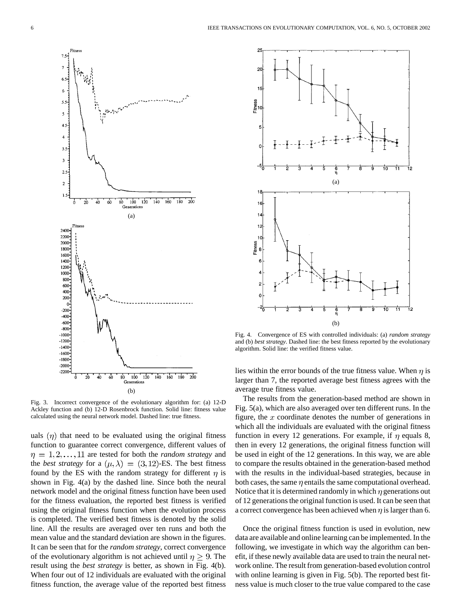

Fig. 3. Incorrect convergence of the evolutionary algorithm for: (a) 12-D Ackley function and (b) 12-D Rosenbrock function. Solid line: fitness value calculated using the neural network model. Dashed line: true fitness.

uals  $(\eta)$  that need to be evaluated using the original fitness function to guarantee correct convergence, different values of  $\eta = 1, 2, \ldots, 11$  are tested for both the *random strategy* and the *best strategy* for a  $(\mu, \lambda) = (3, 12)$ -ES. The best fitness found by the ES with the random strategy for different  $\eta$  is shown in Fig. 4(a) by the dashed line. Since both the neural network model and the original fitness function have been used for the fitness evaluation, the reported best fitness is verified using the original fitness function when the evolution process is completed. The verified best fitness is denoted by the solid line. All the results are averaged over ten runs and both the mean value and the standard deviation are shown in the figures. It can be seen that for the *random strategy*, correct convergence of the evolutionary algorithm is not achieved until  $\eta \geq 9$ . The result using the *best strategy* is better, as shown in Fig. 4(b). When four out of 12 individuals are evaluated with the original fitness function, the average value of the reported best fitness



Fig. 4. Convergence of ES with controlled individuals: (a) *random strategy* and (b) *best strategy*. Dashed line: the best fitness reported by the evolutionary algorithm. Solid line: the verified fitness value.

lies within the error bounds of the true fitness value. When  $\eta$  is larger than 7, the reported average best fitness agrees with the average true fitness value.

The results from the generation-based method are shown in Fig. 5(a), which are also averaged over ten different runs. In the figure, the  $x$  coordinate denotes the number of generations in which all the individuals are evaluated with the original fitness function in every 12 generations. For example, if  $\eta$  equals 8, then in every 12 generations, the original fitness function will be used in eight of the 12 generations. In this way, we are able to compare the results obtained in the generation-based method with the results in the individual-based strategies, because in both cases, the same  $\eta$  entails the same computational overhead. Notice that it is determined randomly in which  $\eta$  generations out of 12 generations the original function is used. It can be seen that a correct convergence has been achieved when  $\eta$  is larger than 6.

Once the original fitness function is used in evolution, new data are available and online learning can be implemented. In the following, we investigate in which way the algorithm can benefit, if these newly available data are used to train the neural network online. The result from generation-based evolution control with online learning is given in Fig. 5(b). The reported best fitness value is much closer to the true value compared to the case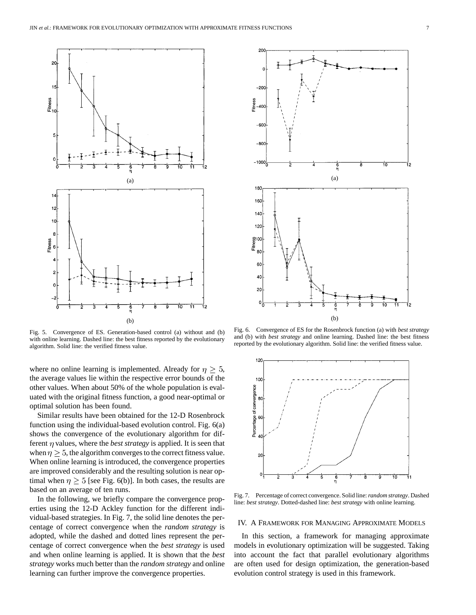

Fig. 5. Convergence of ES. Generation-based control (a) without and (b) with online learning. Dashed line: the best fitness reported by the evolutionary algorithm. Solid line: the verified fitness value.

where no online learning is implemented. Already for  $\eta \geq 5$ , the average values lie within the respective error bounds of the other values. When about 50% of the whole population is evaluated with the original fitness function, a good near-optimal or optimal solution has been found.

Similar results have been obtained for the 12-D Rosenbrock function using the individual-based evolution control. Fig. 6(a) shows the convergence of the evolutionary algorithm for different  $\eta$  values, where the *best strategy* is applied. It is seen that when  $\eta \geq 5$ , the algorithm converges to the correct fitness value. When online learning is introduced, the convergence properties are improved considerably and the resulting solution is near optimal when  $\eta \geq 5$  [see Fig. 6(b)]. In both cases, the results are based on an average of ten runs.

In the following, we briefly compare the convergence properties using the 12-D Ackley function for the different individual-based strategies. In Fig. 7, the solid line denotes the percentage of correct convergence when the *random strategy* is adopted, while the dashed and dotted lines represent the percentage of correct convergence when the *best strategy* is used and when online learning is applied. It is shown that the *best strategy* works much better than the *random strategy* and online learning can further improve the convergence properties.



Fig. 6. Convergence of ES for the Rosenbrock function (a) with *best strategy* and (b) with *best strategy* and online learning. Dashed line: the best fitness reported by the evolutionary algorithm. Solid line: the verified fitness value.



Fig. 7. Percentage of correct convergence. Solid line:*random strategy*. Dashed line: *best strategy*. Dotted-dashed line: *best strategy* with online learning.

#### IV. A FRAMEWORK FOR MANAGING APPROXIMATE MODELS

In this section, a framework for managing approximate models in evolutionary optimization will be suggested. Taking into account the fact that parallel evolutionary algorithms are often used for design optimization, the generation-based evolution control strategy is used in this framework.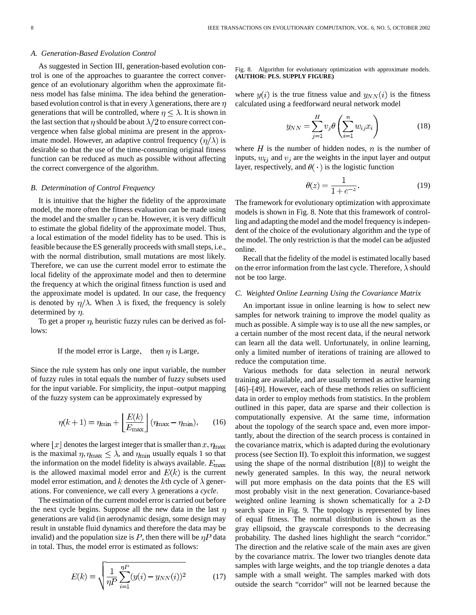#### *A. Generation-Based Evolution Control*

As suggested in Section III, generation-based evolution control is one of the approaches to guarantee the correct convergence of an evolutionary algorithm when the approximate fitness model has false minima. The idea behind the generationbased evolution control is that in every  $\lambda$  generations, there are  $\eta$ generations that will be controlled, where  $\eta \leq \lambda$ . It is shown in the last section that  $\eta$  should be about  $\lambda/2$  to ensure correct convergence when false global minima are present in the approximate model. However, an adaptive control frequency  $(\eta/\lambda)$  is desirable so that the use of the time-consuming original fitness function can be reduced as much as possible without affecting the correct convergence of the algorithm.

#### *B. Determination of Control Frequency*

It is intuitive that the higher the fidelity of the approximate model, the more often the fitness evaluation can be made using the model and the smaller  $\eta$  can be. However, it is very difficult to estimate the global fidelity of the approximate model. Thus, a local estimation of the model fidelity has to be used. This is feasible because the ES generally proceeds with small steps, i.e., with the normal distribution, small mutations are most likely. Therefore, we can use the current model error to estimate the local fidelity of the approximate model and then to determine the frequency at which the original fitness function is used and the approximate model is updated. In our case, the frequency is denoted by  $\eta/\lambda$ . When  $\lambda$  is fixed, the frequency is solely determined by  $\eta$ .

To get a proper  $\eta$ , heuristic fuzzy rules can be derived as follows:

#### If the model error is Large, then  $\eta$  is Large.

Since the rule system has only one input variable, the number of fuzzy rules in total equals the number of fuzzy subsets used for the input variable. For simplicity, the input–output mapping of the fuzzy system can be approximately expressed by

$$
\eta(k+1) = \eta_{\min} + \left\lfloor \frac{E(k)}{E_{\max}} \right\rfloor (\eta_{\max} - \eta_{\min}), \qquad (16)
$$

where  $|x|$  denotes the largest integer that is smaller than  $x, \eta_{\text{max}}$ is the maximal  $\eta$ ,  $\eta_{\text{max}} \leq \lambda$ , and  $\eta_{\text{min}}$  usually equals 1 so that the information on the model fidelity is always available.  $E_{\text{max}}$ is the allowed maximal model error and  $E(k)$  is the current model error estimation, and k denotes the kth cycle of  $\lambda$  generations. For convenience, we call every  $\lambda$  generations a *cycle*.

The estimation of the current model error is carried out before the next cycle begins. Suppose all the new data in the last  $\eta$ generations are valid (in aerodynamic design, some design may result in unstable fluid dynamics and therefore the data may be invalid) and the population size is P, then there will be  $\eta P$  data in total. Thus, the model error is estimated as follows:

$$
E(k) = \sqrt{\frac{1}{\eta P} \sum_{i=1}^{\eta P} (y(i) - y_{NN}(i))^2}
$$
 (17)

Fig. 8. Algorithm for evolutionary optimization with approximate models. **(AUTHOR: PLS. SUPPLY FIGURE)**

where  $y(i)$  is the true fitness value and  $y_{NN}(i)$  is the fitness calculated using a feedforward neural network model

$$
y_{NN} = \sum_{j=1}^{H} v_j \theta \left( \sum_{i=1}^{n} w_{ij} x_i \right) \tag{18}
$$

where  $H$  is the number of hidden nodes,  $n$  is the number of inputs,  $w_{ij}$  and  $v_j$  are the weights in the input layer and output layer, respectively, and  $\theta(\cdot)$  is the logistic function

$$
\theta(z) = \frac{1}{1 + e^{-z}}.\tag{19}
$$

The framework for evolutionary optimization with approximate models is shown in Fig. 8. Note that this framework of controlling and adapting the model and the model frequency is independent of the choice of the evolutionary algorithm and the type of the model. The only restriction is that the model can be adjusted online.

Recall that the fidelity of the model is estimated locally based on the error information from the last cycle. Therefore,  $\lambda$  should not be too large.

#### *C. Weighted Online Learning Using the Covariance Matrix*

An important issue in online learning is how to select new samples for network training to improve the model quality as much as possible. A simple way is to use all the new samples, or a certain number of the most recent data, if the neural network can learn all the data well. Unfortunately, in online learning, only a limited number of iterations of training are allowed to reduce the computation time.

Various methods for data selection in neural network training are available, and are usually termed as active learning [46]–[49]. However, each of these methods relies on sufficient data in order to employ methods from statistics. In the problem outlined in this paper, data are sparse and their collection is computationally expensive. At the same time, information about the topology of the search space and, even more importantly, about the direction of the search process is contained in the covariance matrix, which is adapted during the evolutionary process (see Section II). To exploit this information, we suggest using the shape of the normal distribution [(8)] to weight the newly generated samples. In this way, the neural network will put more emphasis on the data points that the ES will most probably visit in the next generation. Covariance-based weighted online learning is shown schematically for a 2-D search space in Fig. 9. The topology is represented by lines of equal fitness. The normal distribution is shown as the gray ellipsoid, the grayscale corresponds to the decreasing probability. The dashed lines highlight the search "corridor." The direction and the relative scale of the main axes are given by the covariance matrix. The lower two triangles denote data samples with large weights, and the top triangle denotes a data sample with a small weight. The samples marked with dots outside the search "corridor" will not be learned because the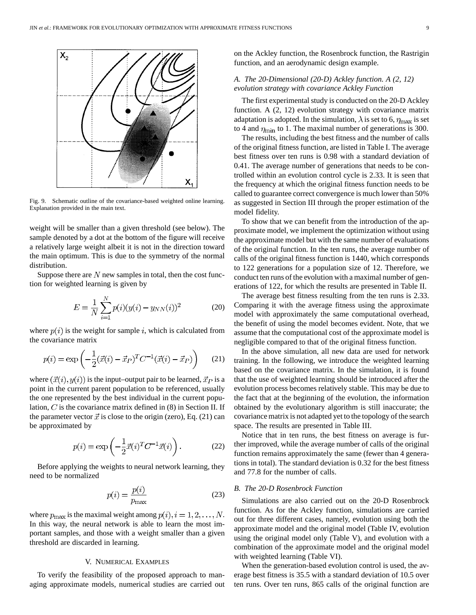

Fig. 9. Schematic outline of the covariance-based weighted online learning. Explanation provided in the main text.

weight will be smaller than a given threshold (see below). The sample denoted by a dot at the bottom of the figure will receive a relatively large weight albeit it is not in the direction toward the main optimum. This is due to the symmetry of the normal distribution.

Suppose there are  $N$  new samples in total, then the cost function for weighted learning is given by

$$
E = \frac{1}{N} \sum_{i=1}^{N} p(i) (y(i) - y_{NN}(i))^2
$$
 (20)

where  $p(i)$  is the weight for sample i, which is calculated from the covariance matrix

$$
p(i) = \exp\left(-\frac{1}{2}(\vec{x}(i) - \vec{x}_P)^T C^{-1}(\vec{x}(i) - \vec{x}_P)\right) \tag{21}
$$

where  $(\vec{x}(i), y(i))$  is the input–output pair to be learned,  $\vec{x}_P$  is a point in the current parent population to be referenced, usually the one represented by the best individual in the current population,  $C$  is the covariance matrix defined in (8) in Section II. If the parameter vector  $\vec{x}$  is close to the origin (zero), Eq. (21) can be approximated by

$$
p(i) = \exp\left(-\frac{1}{2}\vec{x}(i)^T C^{-1}\vec{x}(i)\right).
$$
 (22)

Before applying the weights to neural network learning, they need to be normalized

$$
p(i) = \frac{p(i)}{p_{\text{max}}}
$$
 (23)

where  $p_{\text{max}}$  is the maximal weight among  $p(i)$ ,  $i = 1, 2, ..., N$ . In this way, the neural network is able to learn the most important samples, and those with a weight smaller than a given threshold are discarded in learning.

#### V. NUMERICAL EXAMPLES

To verify the feasibility of the proposed approach to managing approximate models, numerical studies are carried out on the Ackley function, the Rosenbrock function, the Rastrigin function, and an aerodynamic design example.

#### *A. The 20-Dimensional (20-D) Ackley function. A (2, 12) evolution strategy with covariance Ackley Function*

The first experimental study is conducted on the 20-D Ackley function. A (2, 12) evolution strategy with covariance matrix adaptation is adopted. In the simulation,  $\lambda$  is set to 6,  $\eta_{\text{max}}$  is set to 4 and  $\eta_{\text{min}}$  to 1. The maximal number of generations is 300.

The results, including the best fitness and the number of calls of the original fitness function, are listed in Table I. The average best fitness over ten runs is 0.98 with a standard deviation of 0.41. The average number of generations that needs to be controlled within an evolution control cycle is 2.33. It is seen that the frequency at which the original fitness function needs to be called to guarantee correct convergence is much lower than 50% as suggested in Section III through the proper estimation of the model fidelity.

To show that we can benefit from the introduction of the approximate model, we implement the optimization without using the approximate model but with the same number of evaluations of the original function. In the ten runs, the average number of calls of the original fitness function is 1440, which corresponds to 122 generations for a population size of 12. Therefore, we conduct ten runs of the evolution with a maximal number of generations of 122, for which the results are presented in Table II.

The average best fitness resulting from the ten runs is 2.33. Comparing it with the average fitness using the approximate model with approximately the same computational overhead, the benefit of using the model becomes evident. Note, that we assume that the computational cost of the approximate model is negligible compared to that of the original fitness function.

In the above simulation, all new data are used for network training. In the following, we introduce the weighted learning based on the covariance matrix. In the simulation, it is found that the use of weighted learning should be introduced after the evolution process becomes relatively stable. This may be due to the fact that at the beginning of the evolution, the information obtained by the evolutionary algorithm is still inaccurate; the covariance matrix is not adapted yet to the topology of the search space. The results are presented in Table III.

Notice that in ten runs, the best fitness on average is further improved, while the average number of calls of the original function remains approximately the same (fewer than 4 generations in total). The standard deviation is 0.32 for the best fitness and 77.8 for the number of calls.

#### *B. The 20-D Rosenbrock Function*

Simulations are also carried out on the 20-D Rosenbrock function. As for the Ackley function, simulations are carried out for three different cases, namely, evolution using both the approximate model and the original model (Table IV, evolution using the original model only (Table V), and evolution with a combination of the approximate model and the original model with weighted learning (Table VI).

When the generation-based evolution control is used, the average best fitness is 35.5 with a standard deviation of 10.5 over ten runs. Over ten runs, 865 calls of the original function are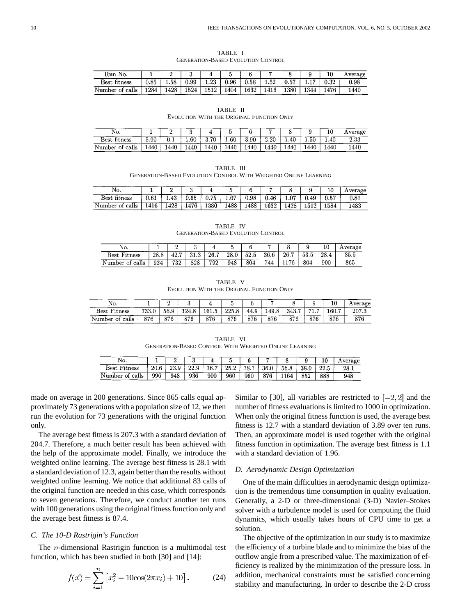| Run No.          |      |      |      |                     |      |      |         |      |      |               | Average |
|------------------|------|------|------|---------------------|------|------|---------|------|------|---------------|---------|
| Best fitness     | 0.85 | 1.58 | 0.99 | $2^{\circ}$<br>ل کل | 0.96 | 0.58 | $.52\,$ | U.Ə. |      | $_{\rm 0.32}$ | 0.98    |
| Number of calls. | 1284 | .428 | 1524 | 1512                | 1404 | 1632 | 1416    | 1380 | 1344 | .476          | 1440    |

TABLE I GENERATION-BASED EVOLUTION CONTROL

TABLE II EVOLUTION WITH THE ORIGINAL FUNCTION ONLY

| No.                           |      |      |          |      |      |      |                  |      |      |     | verage |
|-------------------------------|------|------|----------|------|------|------|------------------|------|------|-----|--------|
| $_{\rm Best}$<br>htness       | 5.90 | U. 1 | $1.60 -$ | 3.70 | 1.60 | 3.90 | 2.20<br>$\Omega$ | 1.40 | - 50 | .40 | 2.33   |
| - 77<br>Number<br>calls<br>∩t | 1440 | 440  | 1440     | .440 | 1440 | 1440 | 440              | -440 | 1440 | 440 | .440   |

TABLE III GENERATION-BASED EVOLUTION CONTROL WITH WEIGHTED ONLINE LEARNING

| No.                                  |           |      |      |            |      |      |      |      |      |              | Average |
|--------------------------------------|-----------|------|------|------------|------|------|------|------|------|--------------|---------|
| $_{\rm Best}$<br>$_\mathrm{fitness}$ | $_{0.61}$ | .43  | 0.65 | 75<br>ບ.ເປ | 1.07 | 0.98 | 0.46 | 1.07 | 49   | 0.57<br>U.D. |         |
| calls<br>Number<br>ΩŤ                | 416       | .428 | 1476 | 1380       | 1488 | 1488 | 1632 | 1428 | 1512 | 1584         | 1483    |

TABLE IV GENERATION-BASED EVOLUTION CONTROL

| No.                                          |      |           | ບ                                |           |                  |      |      |      |                     | ∸∿   | verage |
|----------------------------------------------|------|-----------|----------------------------------|-----------|------------------|------|------|------|---------------------|------|--------|
| ÷.<br>$\sqrt{ }$<br>$_{\rm Best}$<br>Fitness | 28.8 | $\Lambda$ | $\Omega$<br>$^{\circ}$<br>ن. د ن | 26.7<br>- | 28.0<br>$\Omega$ | 52.5 | 36.6 | 26.7 | <b>FO F</b><br>აა.ა | 28.4 | 35.5   |
| calls<br>Number.<br>οt                       | 924  | 732       | 828                              | 792       | 948              | 804  | 744  | 1176 | 804                 | 900  | 865    |

TABLE V EVOLUTION WITH THE ORIGINAL FUNCTION ONLY

| No.                 |       |      |       |       |       |      |       |       |       |       | Average |
|---------------------|-------|------|-------|-------|-------|------|-------|-------|-------|-------|---------|
| <b>Best Fitness</b> | 733.0 | 56.9 | 124.8 | 161.5 | 225.8 | 44.9 | 149.8 | 343.7 | -<br> | 160.7 | 207.3   |
| Number of calls     | 876   | 876  | 876   | 876   | 876   | 876  | 876   | 876   | 876   | 876   | 876     |

TABLE VI GENERATION-BASED CONTROL WITH WEIGHTED ONLINE LEARNING

| No.                 |      |      |              |                   |      |      |      |      |      |      | Average |
|---------------------|------|------|--------------|-------------------|------|------|------|------|------|------|---------|
| <b>Best Fitness</b> | 20.6 | 23.9 | 99 Q<br>44.9 | 16.7<br>-<br>---- | 25.2 | 18.1 | 36.0 | 56.8 | 38.0 | 22.5 | 28.1    |
| Number of calls     | 996  | 948  | 936          | 900               | 960  | 960  | 876  | 1164 | 852  | 888  | 948     |

made on average in 200 generations. Since 865 calls equal approximately 73 generations with a population size of 12, we then run the evolution for 73 generations with the original function only.

The average best fitness is 207.3 with a standard deviation of 204.7. Therefore, a much better result has been achieved with the help of the approximate model. Finally, we introduce the weighted online learning. The average best fitness is 28.1 with a standard deviation of 12.3, again better than the results without weighted online learning. We notice that additional 83 calls of the original function are needed in this case, which corresponds to seven generations. Therefore, we conduct another ten runs with 100 generations using the original fitness function only and the average best fitness is 87.4.

#### *C. The 10-D Rastrigin's Function*

The  $n$ -dimensional Rastrigin function is a multimodal test function, which has been studied in both [30] and [14]:

$$
f(\vec{x}) = \sum_{i=1}^{n} \left[ x_i^2 - 10\cos(2\pi x_i) + 10 \right].
$$
 (24)

Similar to [30], all variables are restricted to  $[-2, 2]$  and the number of fitness evaluations is limited to 1000 in optimization. When only the original fitness function is used, the average best fitness is 12.7 with a standard deviation of 3.89 over ten runs. Then, an approximate model is used together with the original fitness function in optimization. The average best fitness is 1.1 with a standard deviation of 1.96.

#### *D. Aerodynamic Design Optimization*

One of the main difficulties in aerodynamic design optimization is the tremendous time consumption in quality evaluation. Generally, a 2-D or three-dimensional (3-D) Navier–Stokes solver with a turbulence model is used for computing the fluid dynamics, which usually takes hours of CPU time to get a solution.

The objective of the optimization in our study is to maximize the efficiency of a turbine blade and to minimize the bias of the outflow angle from a prescribed value. The maximization of efficiency is realized by the minimization of the pressure loss. In addition, mechanical constraints must be satisfied concerning stability and manufacturing. In order to describe the 2-D cross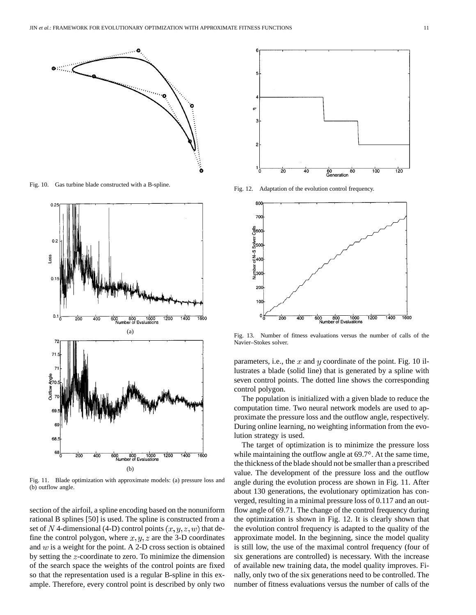

Fig. 10. Gas turbine blade constructed with a B-spline.



Fig. 11. Blade optimization with approximate models: (a) pressure loss and (b) outflow angle.

section of the airfoil, a spline encoding based on the nonuniform rational B splines [50] is used. The spline is constructed from a set of N 4-dimensional (4-D) control points  $(x, y, z, w)$  that define the control polygon, where  $x, y, z$  are the 3-D coordinates and  $w$  is a weight for the point. A 2-D cross section is obtained by setting the  $z$ -coordinate to zero. To minimize the dimension of the search space the weights of the control points are fixed so that the representation used is a regular B-spline in this example. Therefore, every control point is described by only two



Fig. 12. Adaptation of the evolution control frequency.



Fig. 13. Number of fitness evaluations versus the number of calls of the Navier–Stokes solver.

parameters, i.e., the  $x$  and  $y$  coordinate of the point. Fig. 10 illustrates a blade (solid line) that is generated by a spline with seven control points. The dotted line shows the corresponding control polygon.

The population is initialized with a given blade to reduce the computation time. Two neural network models are used to approximate the pressure loss and the outflow angle, respectively. During online learning, no weighting information from the evolution strategy is used.

The target of optimization is to minimize the pressure loss while maintaining the outflow angle at  $69.7^\circ$ . At the same time, the thickness of the blade should not be smaller than a prescribed value. The development of the pressure loss and the outflow angle during the evolution process are shown in Fig. 11. After about 130 generations, the evolutionary optimization has converged, resulting in a minimal pressure loss of 0.117 and an outflow angle of 69.71. The change of the control frequency during the optimization is shown in Fig. 12. It is clearly shown that the evolution control frequency is adapted to the quality of the approximate model. In the beginning, since the model quality is still low, the use of the maximal control frequency (four of six generations are controlled) is necessary. With the increase of available new training data, the model quality improves. Finally, only two of the six generations need to be controlled. The number of fitness evaluations versus the number of calls of the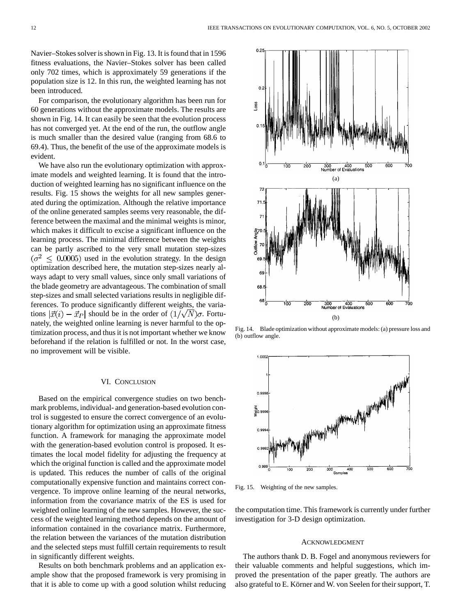Navier–Stokes solver is shown in Fig. 13. It is found that in 1596 fitness evaluations, the Navier–Stokes solver has been called only 702 times, which is approximately 59 generations if the population size is 12. In this run, the weighted learning has not been introduced.

For comparison, the evolutionary algorithm has been run for 60 generations without the approximate models. The results are shown in Fig. 14. It can easily be seen that the evolution process has not converged yet. At the end of the run, the outflow angle is much smaller than the desired value (ranging from 68.6 to 69.4). Thus, the benefit of the use of the approximate models is evident.

We have also run the evolutionary optimization with approximate models and weighted learning. It is found that the introduction of weighted learning has no significant influence on the results. Fig. 15 shows the weights for all new samples generated during the optimization. Although the relative importance of the online generated samples seems very reasonable, the difference between the maximal and the minimal weights is minor, which makes it difficult to excise a significant influence on the learning process. The minimal difference between the weights can be partly ascribed to the very small mutation step-sizes  $(\sigma^2 \leq 0.0005)$  used in the evolution strategy. In the design optimization described here, the mutation step-sizes nearly always adapt to very small values, since only small variations of the blade geometry are advantageous. The combination of small step-sizes and small selected variations results in negligible differences. To produce significantly different weights, the variations  $|\vec{x}(i) - \vec{x}_P|$  should be in the order of  $(1/\sqrt{N})\sigma$ . Fortunately, the weighted online learning is never harmful to the optimization process, and thus it is not important whether we know beforehand if the relation is fulfilled or not. In the worst case, no improvement will be visible.

#### VI. CONCLUSION

Based on the empirical convergence studies on two benchmark problems, individual- and generation-based evolution control is suggested to ensure the correct convergence of an evolutionary algorithm for optimization using an approximate fitness function. A framework for managing the approximate model with the generation-based evolution control is proposed. It estimates the local model fidelity for adjusting the frequency at which the original function is called and the approximate model is updated. This reduces the number of calls of the original computationally expensive function and maintains correct convergence. To improve online learning of the neural networks, information from the covariance matrix of the ES is used for weighted online learning of the new samples. However, the success of the weighted learning method depends on the amount of information contained in the covariance matrix. Furthermore, the relation between the variances of the mutation distribution and the selected steps must fulfill certain requirements to result in significantly different weights.

Results on both benchmark problems and an application example show that the proposed framework is very promising in that it is able to come up with a good solution whilst reducing



Fig. 14. Blade optimization without approximate models: (a) pressure loss and (b) outflow angle.



Fig. 15. Weighting of the new samples.

the computation time. This framework is currently under further investigation for 3-D design optimization.

#### ACKNOWLEDGMENT

The authors thank D. B. Fogel and anonymous reviewers for their valuable comments and helpful suggestions, which improved the presentation of the paper greatly. The authors are also grateful to E. Körner and W. von Seelen for their support, T.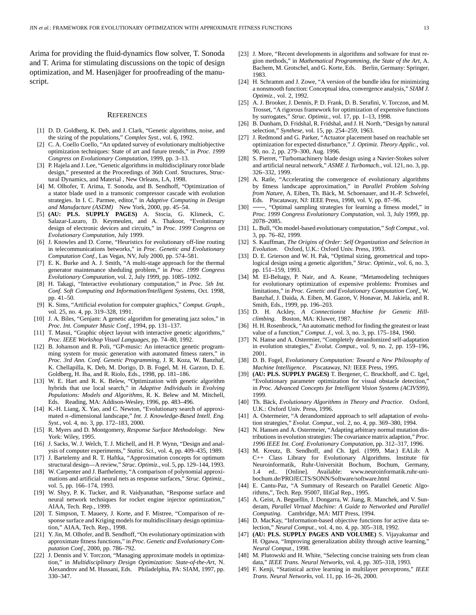Arima for providing the fluid-dynamics flow solver, T. Sonoda and T. Arima for stimulating discussions on the topic of design optimization, and M. Hasenjäger for proofreading of the manuscript.

#### **REFERENCES**

- [1] D. D. Goldberg, K. Deb, and J. Clark, "Genetic algorithms, noise, and the sizing of the populations," *Complex Syst.*, vol. 6, 1992.
- [2] C. A. Coello Coello, "An updated survey of evolutionary multiobjective optimization techniques: State of art and future trends," in *Proc. 1999 Congress on Evolutionary Computation*, 1999, pp. 3–13.
- [3] P. Hajela and J. Lee, "Genetic algorithms in multidisciplinary rotor blade design," presented at the Proceedings of 36th Conf. Structures, Structural Dynamics, and Material , New Orleans, LA, 1998.
- [4] M. Olhofer, T. Arima, T. Sonoda, and B. Sendhoff, "Optimization of a stator blade used in a transonic compressor cascade with evolution strategies. In I. C. Parmee, editor," in *Adaptive Computing in Design and Manufacture (ASDM)* New York, 2000, pp. 45–54.
- [5] **(AU: PLS. SUPPLY PAGES)** A. Stocia, G. Klimeck, C. Salazar-Lazaro, D. Keymeulen, and A. Thakoor, "Evolutionary design of electronic devices and circuits," in *Proc. 1999 Congress on Evolutionary Computation*, July 1999.
- [6] J. Knowles and D. Corne, "Heuristics for evolutionary off-line routing in telecommunications betworks," in *Proc. Genetic and Evolutionary Computation Conf.*, Las Vegas, NV, July 2000, pp. 574–581.
- [7] E. K. Burke and A. J. Smith, "A multi-stage approach for the thermal generator maintenance sheduling problem," in *Proc. 1999 Congress Evolutionary Computation*, vol. 2, July 1999, pp. 1085–1092.
- [8] H. Takagi, "Interactive evolutionary computation," in *Proc. 5th Int. Conf. Soft Computing and Information/Intelligent Systems*, Oct. 1998, pp. 41–50.
- [9] K. Sims, "Artificial evolution for computer graphics," *Comput. Graph.*, vol. 25, no. 4, pp. 319–328, 1991.
- [10] J. A. Biles, "Genjam: A genetic algorithm for generating jazz solos," in *Proc. Int. Computer Music Conf.*, 1994, pp. 131–137.
- [11] T. Masui, "Graphic object layout with interactive genetic algorithms," *Proc. IEEE Workshop Visual Languages*, pp. 74–80, 1992.
- [12] B. Johanson and R. Poli, "GP-music: An interactice genetic programming system for music generation with automated fitness raters," in *Proc. 3rd Ann. Conf. Genetic Programming*, J. R. Koza, W. Banzhaf, K. Chellapilla, K. Deb, M. Dorigo, D. B. Fogel, M. H. Garzon, D. E. Goldberg, H. Iba, and R. Riolo, Eds., 1998, pp. 181–186.
- [13] W. E. Hart and R. K. Belew, "Optimization with genetic algorithm hybrids that use local search," in *Adaptive Individuals in Evolving Populations: Models and Algorithms*, R. K. Belew and M. Mitchell, Eds. Reading, MA: Addison-Wesley, 1996, pp. 483–496.
- [14] K.-H. Liang, X. Yao, and C. Newton, "Evolutionary search of approximated n-dimensional landscape," *Int. J. Knowledge-Based Intell. Eng. Syst.*, vol. 4, no. 3, pp. 172–183, 2000.
- [15] R. Myers and D. Montgomery, *Response Surface Methodology*. New York: Wiley, 1995.
- [16] J. Sacks, W. J. Welch, T. J. Michell, and H. P. Wynn, "Design and analysis of computer experiments," *Statist. Sci.*, vol. 4, pp. 409–435, 1989.
- [17] J. Bartelemy and R. T. Haftka, "Approximation concepts for optimum structural design—A review," *Struc. Optimiz.*, vol. 5, pp. 129–144, 1993.
- [18] W. Carpenter and J. Barthelemy, "A comparison of polynomial approximations and artificial neural nets as response surfaces," *Struc. Optimiz.*, vol. 5, pp. 166–174, 1993.
- [19] W. Shyy, P. K. Tucker, and R. Vaidyanathan, "Response surface and neural network techniques for rocket engine injector optimization," AIAA, Tech. Rep., 1999.
- [20] T. Simpson, T. Mauery, J. Korte, and F. Mistree, "Comparison of response surface and Kriging models for multidiscilinary design optimization," AIAA, Tech. Rep., 1998.
- [21] Y. Jin, M. Olhofer, and B. Sendhoff, "On evolutionary optimization with approximate fitness functions," in *Proc. Genetic and Evolutionary Computation Conf.*, 2000, pp. 786–792.
- [22] J. Dennis and V. Torczon, "Managing approximate models in optimization," in *Multidisciplinary Design Optimization: State-of-the-Art*, N. Alexandrov and M. Hussani, Eds. Philadelphia, PA: SIAM, 1997, pp. 330–347.
- [23] J. More, "Recent developments in algorithms and software for trust region methods," in *Mathematical Programming, the State of the Art*, A. Bachem, M. Grotschel, and G. Korte, Eds. Berlin, Germany: Springer, 1983.
- [24] H. Schramm and J. Zowe, "A version of the bundle idea for minimizing a nonsmooth function: Conceptual idea, convergence analysis," *SIAM J. Optimiz.*, vol. 2, 1992.
- [25] A. J. Brooker, J. Dennis, P. D. Frank, D. B. Serafini, V. Torczon, and M. Trosset, "A rigorous framework for optimization of expensive functions by surrogates," *Struc. Optimiz.*, vol. 17, pp. 1–13, 1998.
- [26] B. Dunham, D. Fridshal, R. Fridshal, and J. H. North, "Design by natural selection," *Synthese*, vol. 15, pp. 254–259, 1963.
- [27] J. Redmond and G. Parker, "Actuator placement based on reachable set optimization for expected disturbance," *J. Optimiz. Theory Applic.*, vol. 90, no. 2, pp. 279–300, Aug. 1996.
- [28] S. Pierret, "Turbomachinery blade design using a Navier-Stokes solver and artificial neural network," *ASME J. Turbomach.*, vol. 121, no. 3, pp. 326–332, 1999.
- [29] A. Ratle, "Accelerating the convergence of evolutionary algorithms by fitness landscape approximation," in *Parallel Problem Solving from Nature*, A. Eiben, Th. Bäck, M. Schoenauer, and H.-P. Schwefel, Eds. Piscataway, NJ: IEEE Press, 1998, vol. V, pp. 87–96.
- [30]  $\rightarrow$  "Optimal sampling strategies for learning a fitness model," in *Proc. 1999 Congress Evolutionary Computation*, vol. 3, July 1999, pp. 2078–2085.
- [31] L. Bull, "On model-based evolutionary computation," *Soft Comput.*, vol. 3, pp. 76–82, 1999.
- [32] S. Kauffman, *The Origins of Order: Self Organization and Selection in Evolution*. Oxford, U.K.: Oxford Univ. Press, 1993.
- [33] D. E. Grierson and W. H. Pak, "Optimal sizing, geometrical and topological design using a genetic algorithm," *Struc. Optimiz.*, vol. 6, no. 3, pp. 151–159, 1993.
- [34] M. El-Beltagy, P. Nair, and A. Keane, "Metamodeling techniques for evolutionary optimization of expensive problems: Promises and limitations," in *Proc. Genetic and Evolutionary Computation Conf.*, W. Banzhaf, J. Daida, A. Eiben, M. Gazon, V. Honavar, M. Jakiela, and R. Smith, Eds., 1999, pp. 196–203.
- [35] D. H. Ackley, *A Connectionist Machine for Genetic Hillclimbing*. Boston, MA: Kluwer, 1987.
- [36] H. H. Rosenbrock, "An automatic method for finding the greatest or least value of a function," *Comput. J.*, vol. 3, no. 3, pp. 175–184, 1960.
- [37] N. Hanse and A. Ostermier, "Completely derandomized self-adaptation in evolution strategies," *Evolut. Comput.*, vol. 9, no. 2, pp. 159–196, 2001.
- [38] D. B. Fogel, *Evolutionary Computation: Toward a New Philosophy of Machine Intelligence*. Piscataway, NJ: IEEE Press, 1995.
- [39] **(AU: PLS. SUPPLY PAGES)** T. Bergener, C. Bruckhoff, and C. Igel, "Evolutionary parameter optimization for visual obstacle detection," in *Proc. Advanced Concepts for Intelligent Vision Systems (ACIVS99)*, 1999.
- [40] Th. Bäck, *Evolutionary Algorithms in Theory and Practice*. Oxford, U.K.: Oxford Univ. Press, 1996.
- [41] A. Ostermeier, "A derandomized approach to self adaptation of evolution strategies," *Evolut. Comput.*, vol. 2, no. 4, pp. 369–380, 1994.
- [42] N. Hansen and A. Ostermeier, "Adapting arbitrary normal mutation distributions in evolution strategies: The covariance matrix adaption," *Proc. 1996 IEEE Int. Conf. Evolutionary Computation*, pp. 312–317, 1996.
- [43] M. Kreutz, B. Sendhoff, and Ch. Igel. (1999, Mar.) EALib: A C++ Class Library for Evolutionary Algorithms. Institute für Neuroinformatik, Ruhr-Universität Bochum, Bochum, Germany, 1.4 ed.. [Online]. Available: www.neuroinformatik.ruhr-unibochum.de/PROJECTS/SONN/Software/software.html
- [44] E. Cantu-Paz, "A Summary of Research on Parallel Genetic Algorithms,", Tech. Rep. 95007, IlliGal Rep., 1995.
- [45] A. Geist, A. Beguellin, J. Dongarra, W. Jiang, R. Manchek, and V. Sunderam, *Parallel Virtual Machine: A Guide to Networked and Parallel Computing*. Cambridge, MA: MIT Press, 1994.
- [46] D. MacKay, "Information-based objective functions for active data selection," *Neural Comput.*, vol. 4, no. 4, pp. 305–318, 1992.
- [47] **(AU: PLS. SUPPLY PAGES AND VOLUME)** S. Vijayakumar and H. Ogawa, "Improving generalization ability through active learning," *Neural Comput.*, 1998.
- [48] M. Plutowski and H. White, "Selecting concise training sets from clean data," *IEEE Trans. Neural Networks*, vol. 4, pp. 305–318, 1993.
- [49] F. Kenji, "Statistical active learning in multilayer perceptrons," *IEEE Trans. Neural Networks*, vol. 11, pp. 16–26, 2000.